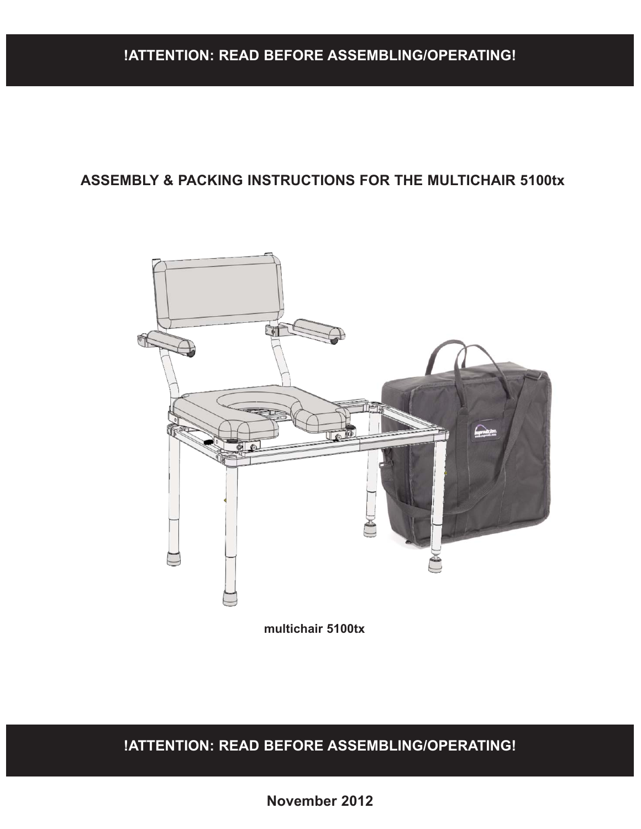#### **!ATTENTION: READ BEFORE ASSEMBLING/OPERATING!**

#### **ASSEMBLY & PACKING INSTRUCTIONS FOR THE MULTICHAIR 5100tx**



**multichair 5100tx**

**!ATTENTION: READ BEFORE ASSEMBLING/OPERATING!**

**November 2016**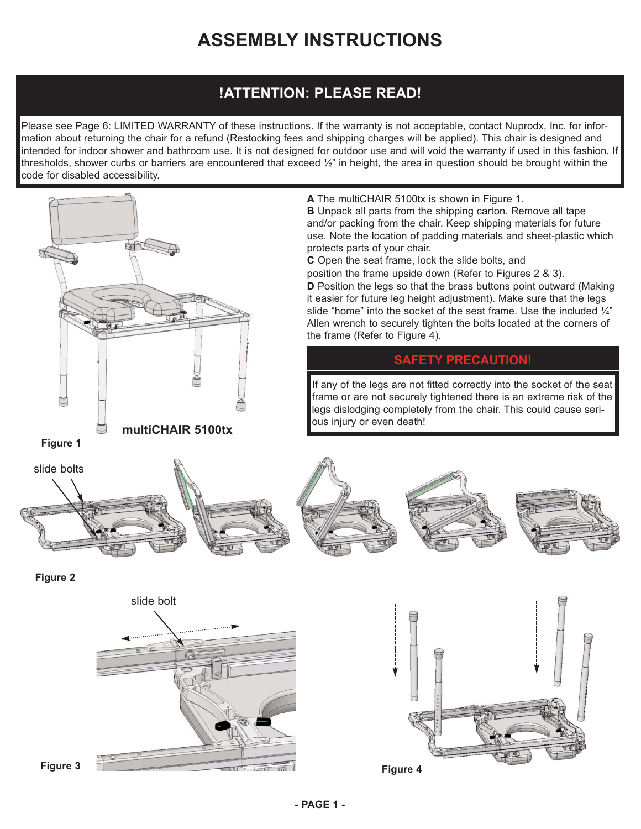## **ASSEMBLY INSTRUCTIONS**

### **!ATTENTION: PLEASE READ!**

Please see Page 6: LIMITED WARRANTY of these instructions. If the warranty is not acceptable, contact Nuprodx, Inc. for information about returning the chair for a refund (Restocking fees and shipping charges will be applied). This chair is designed and intended for indoor shower and bathroom use. It is not designed for outdoor use and will void the warranty if used in this fashion. If thresholds, shower curbs or barriers are encountered that exceed ½" in height, the area in question should be brought within the code for disabled accessibility.

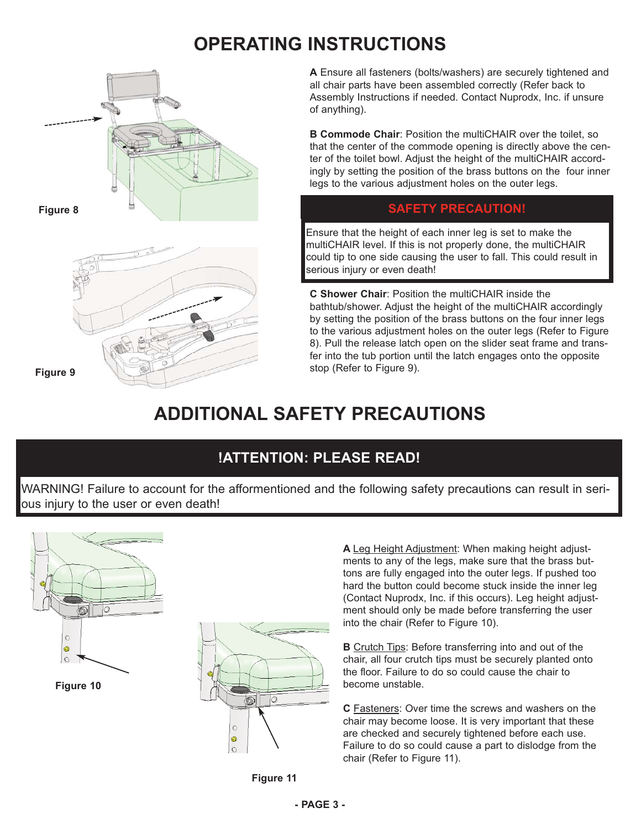## **OPERATING INSTRUCTIONS**



**A** Ensure all fasteners (bolts/washers) are securely tightened and all chair parts have been assembled correctly (Refer back to Assembly Instructions if needed. Contact Nuprodx, Inc. if unsure of anything).

**B Commode Chair: Position the multiCHAIR over the toilet, so** that the center of the commode opening is directly above the center of the toilet bowl. Adjust the height of the multiCHAIR accordingly by setting the position of the brass buttons on the four inner legs to the various adjustment holes on the outer legs.

Ensure that the height of each inner leg is set to make the multiCHAIR level. If this is not properly done, the multiCHAIR could tip to one side causing the user to fall. This could result in serious injury or even death!

**C Shower Chair**: Position the multiCHAIR inside the bathtub/shower. Adjust the height of the multiCHAIR accordingly by setting the position of the brass buttons on the four inner legs to the various adjustment holes on the outer legs (Refer to Figure 8). Pull the release latch open on the slider seat frame and transfer into the tub portion until the latch engages onto the opposite stop (Refer to Figure 9).

# **ADDITIONAL SAFETY PRECAUTIONS**

## **!ATTENTION: PLEASE READ!**

WARNING! Failure to account for the afformentioned and the following safety precautions can result in serious injury to the user or even death!



**A** Leg Height Adjustment: When making height adjustments to any of the legs, make sure that the brass buttons are fully engaged into the outer legs. If pushed too hard the button could become stuck inside the inner leg (Contact Nuprodx, Inc. if this occurs). Leg height adjustment should only be made before transferring the user into the chair (Refer to Figure 10).

**B** Crutch Tips: Before transferring into and out of the chair, all four crutch tips must be securely planted onto the floor. Failure to do so could cause the chair to become unstable.

**C** Fasteners: Over time the screws and washers on the chair may become loose. It is very important that these are checked and securely tightened before each use. Failure to do so could cause a part to dislodge from the chair (Refer to Figure 11).